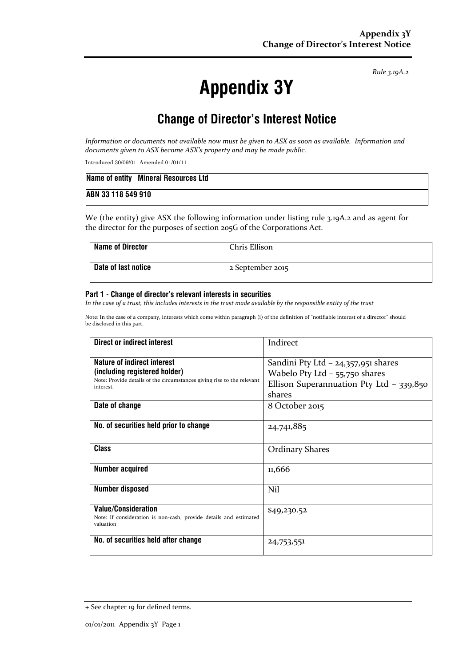Rule 3.19A.2

# Appendix 3Y

# Change of Director's Interest Notice

Information or documents not available now must be given to ASX as soon as available. Information and documents given to ASX become ASX's property and may be made public.

Introduced 30/09/01 Amended 01/01/11

|                    | Name of entity Mineral Resources Ltd |
|--------------------|--------------------------------------|
| ABN 33 118 549 910 |                                      |

We (the entity) give ASX the following information under listing rule 3.19A.2 and as agent for the director for the purposes of section 205G of the Corporations Act.

| <b>Name of Director</b> | Chris Ellison    |
|-------------------------|------------------|
| Date of last notice     | 2 September 2015 |

#### Part 1 - Change of director's relevant interests in securities

In the case of a trust, this includes interests in the trust made available by the responsible entity of the trust

Note: In the case of a company, interests which come within paragraph (i) of the definition of "notifiable interest of a director" should be disclosed in this part.

| Direct or indirect interest                                                                                                                         | Indirect                                                                                                                        |  |
|-----------------------------------------------------------------------------------------------------------------------------------------------------|---------------------------------------------------------------------------------------------------------------------------------|--|
| Nature of indirect interest<br>(including registered holder)<br>Note: Provide details of the circumstances giving rise to the relevant<br>interest. | Sandini Pty Ltd $-$ 24,357,951 shares<br>Wabelo Pty Ltd $-$ 55,750 shares<br>Ellison Superannuation Pty Ltd - 339,850<br>shares |  |
| Date of change                                                                                                                                      | 8 October 2015                                                                                                                  |  |
| No. of securities held prior to change                                                                                                              | 24,741,885                                                                                                                      |  |
| <b>Class</b>                                                                                                                                        | <b>Ordinary Shares</b>                                                                                                          |  |
| <b>Number acquired</b>                                                                                                                              | 11,666                                                                                                                          |  |
| <b>Number disposed</b>                                                                                                                              | Nil                                                                                                                             |  |
| <b>Value/Consideration</b><br>Note: If consideration is non-cash, provide details and estimated<br>valuation                                        | \$49,230.52                                                                                                                     |  |
| No. of securities held after change                                                                                                                 | 24,753,551                                                                                                                      |  |

<sup>+</sup> See chapter 19 for defined terms.